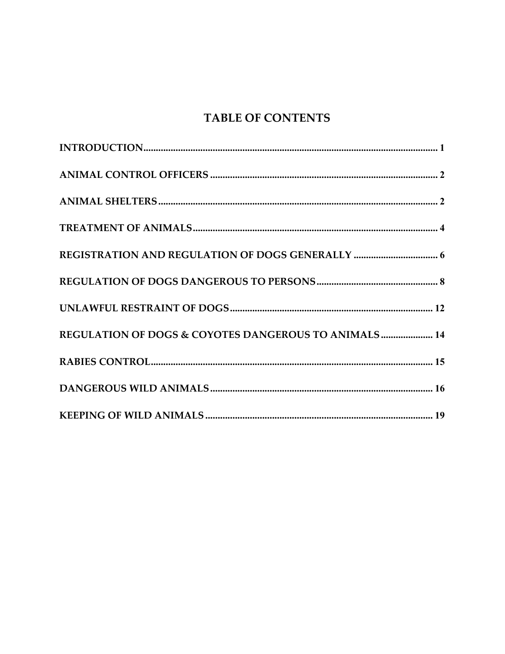# **TABLE OF CONTENTS**

| REGULATION OF DOGS & COYOTES DANGEROUS TO ANIMALS 14 |
|------------------------------------------------------|
|                                                      |
|                                                      |
|                                                      |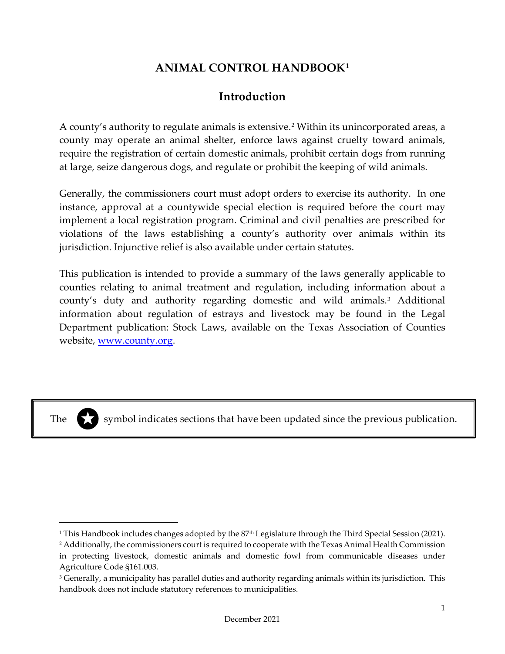# **ANIMAL CONTROL HANDBOOK[1](#page-1-1)**

# **Introduction**

<span id="page-1-0"></span>A county's authority to regulate animals is extensive.[2](#page-1-2) Within its unincorporated areas, a county may operate an animal shelter, enforce laws against cruelty toward animals, require the registration of certain domestic animals, prohibit certain dogs from running at large, seize dangerous dogs, and regulate or prohibit the keeping of wild animals.

Generally, the commissioners court must adopt orders to exercise its authority. In one instance, approval at a countywide special election is required before the court may implement a local registration program. Criminal and civil penalties are prescribed for violations of the laws establishing a county's authority over animals within its jurisdiction. Injunctive relief is also available under certain statutes.

This publication is intended to provide a summary of the laws generally applicable to counties relating to animal treatment and regulation, including information about a county's duty and authority regarding domestic and wild animals.[3](#page-1-3) Additional information about regulation of estrays and livestock may be found in the Legal Department publication: Stock Laws, available on the Texas Association of Counties website, [www.county.org.](http://www.county.org/)



The symbol indicates sections that have been updated since the previous publication.

<span id="page-1-1"></span><sup>&</sup>lt;sup>1</sup> This Handbook includes changes adopted by the  $87<sup>th</sup>$  Legislature through the Third Special Session (2021).

<span id="page-1-2"></span><sup>&</sup>lt;sup>2</sup> Additionally, the commissioners court is required to cooperate with the Texas Animal Health Commission in protecting livestock, domestic animals and domestic fowl from communicable diseases under Agriculture Code §161.003.

<span id="page-1-3"></span><sup>&</sup>lt;sup>3</sup> Generally, a municipality has parallel duties and authority regarding animals within its jurisdiction. This handbook does not include statutory references to municipalities.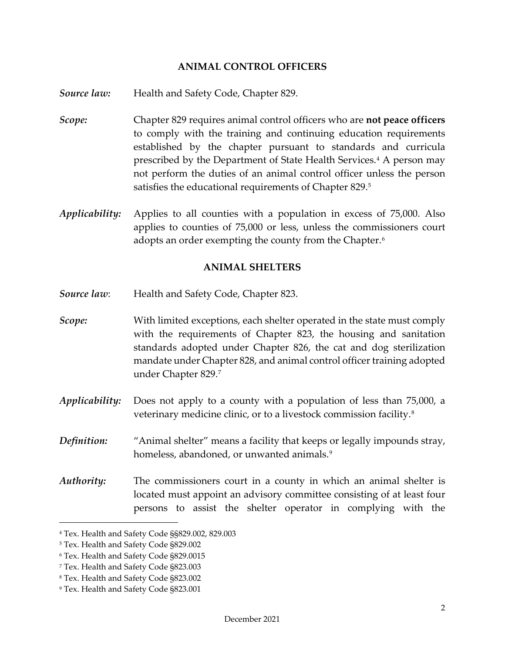#### **ANIMAL CONTROL OFFICERS**

<span id="page-2-0"></span>**Source law:** Health and Safety Code, Chapter 829.

- *Scope:* Chapter 829 requires animal control officers who are **not peace officers** to comply with the training and continuing education requirements established by the chapter pursuant to standards and curricula prescribed by the Department of State Health Services.[4](#page-2-2) A person may not perform the duties of an animal control officer unless the person satisfies the educational requirements of Chapter 829.[5](#page-2-3)
- *Applicability:* Applies to all counties with a population in excess of 75,000. Also applies to counties of 75,000 or less, unless the commissioners court adopts an order exempting the county from the Chapter.<sup>[6](#page-2-4)</sup>

#### <span id="page-2-1"></span>**ANIMAL SHELTERS**

- *Source law*: Health and Safety Code, Chapter 823.
- *Scope:* With limited exceptions, each shelter operated in the state must comply with the requirements of Chapter 823, the housing and sanitation standards adopted under Chapter 826, the cat and dog sterilization mandate under Chapter 828, and animal control officer training adopted under Chapter 829.[7](#page-2-5)
- *Applicability:* Does not apply to a county with a population of less than 75,000, a veterinary medicine clinic, or to a livestock commission facility.[8](#page-2-6)
- *Definition:* "Animal shelter" means a facility that keeps or legally impounds stray, homeless, abandoned, or unwanted animals.<sup>9</sup>
- *Authority:* The commissioners court in a county in which an animal shelter is located must appoint an advisory committee consisting of at least four persons to assist the shelter operator in complying with the

<span id="page-2-2"></span><sup>4</sup> Tex. Health and Safety Code §§829.002, 829.003

<span id="page-2-3"></span><sup>5</sup> Tex. Health and Safety Code §829.002

<span id="page-2-4"></span><sup>6</sup> Tex. Health and Safety Code §829.0015

<span id="page-2-5"></span><sup>7</sup> Tex. Health and Safety Code §823.003

<span id="page-2-6"></span><sup>8</sup> Tex. Health and Safety Code §823.002

<span id="page-2-7"></span><sup>9</sup> Tex. Health and Safety Code §823.001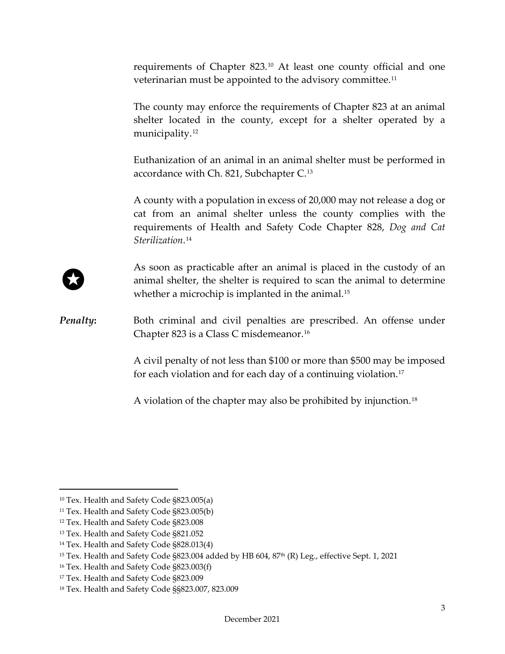requirements of Chapter 823.[10](#page-3-0) At least one county official and one veterinarian must be appointed to the advisory committee.[11](#page-3-1)

The county may enforce the requirements of Chapter 823 at an animal shelter located in the county, except for a shelter operated by a municipality.<sup>[12](#page-3-2)</sup>

Euthanization of an animal in an animal shelter must be performed in accordance with Ch. 821, Subchapter C.[13](#page-3-3)

A county with a population in excess of 20,000 may not release a dog or cat from an animal shelter unless the county complies with the requirements of Health and Safety Code Chapter 828, *Dog and Cat Sterilization*.[14](#page-3-4)

As soon as practicable after an animal is placed in the custody of an animal shelter, the shelter is required to scan the animal to determine whether a microchip is implanted in the animal.<sup>[15](#page-3-5)</sup>

**Penalty:** Both criminal and civil penalties are prescribed. An offense under Chapter 823 is a Class C misdemeanor.[16](#page-3-6) 

> A civil penalty of not less than \$100 or more than \$500 may be imposed for each violation and for each day of a continuing violation.<sup>[17](#page-3-7)</sup>

A violation of the chapter may also be prohibited by injunction.[18](#page-3-8)

<span id="page-3-0"></span><sup>10</sup> Tex. Health and Safety Code §823.005(a)

<span id="page-3-1"></span><sup>11</sup> Tex. Health and Safety Code §823.005(b)

<span id="page-3-2"></span><sup>12</sup> Tex. Health and Safety Code §823.008

<span id="page-3-3"></span><sup>13</sup> Tex. Health and Safety Code §821.052

<span id="page-3-4"></span><sup>14</sup> Tex. Health and Safety Code §828.013(4)

<span id="page-3-5"></span><sup>&</sup>lt;sup>15</sup> Tex. Health and Safety Code §823.004 added by HB 604, 87<sup>th</sup> (R) Leg., effective Sept. 1, 2021

<span id="page-3-6"></span><sup>16</sup> Tex. Health and Safety Code §823.003(f)

<span id="page-3-7"></span><sup>17</sup> Tex. Health and Safety Code §823.009

<span id="page-3-8"></span><sup>18</sup> Tex. Health and Safety Code §§823.007, 823.009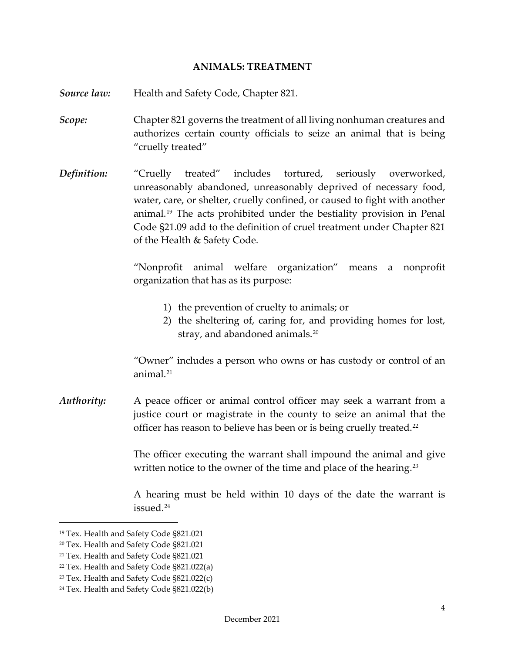#### <span id="page-4-0"></span>**ANIMALS: TREATMENT**

- *Source law:* Health and Safety Code, Chapter 821*.*
- *Scope:* Chapter 821 governs the treatment of all living nonhuman creatures and authorizes certain county officials to seize an animal that is being "cruelly treated"
- *Definition:* "Cruelly treated" includes tortured, seriously overworked, unreasonably abandoned, unreasonably deprived of necessary food, water, care, or shelter, cruelly confined, or caused to fight with another animal.[19](#page-4-1) The acts prohibited under the bestiality provision in Penal Code §21.09 add to the definition of cruel treatment under Chapter 821 of the Health & Safety Code.

"Nonprofit animal welfare organization" means a nonprofit organization that has as its purpose:

- 1) the prevention of cruelty to animals; or
- 2) the sheltering of, caring for, and providing homes for lost, stray, and abandoned animals.<sup>[20](#page-4-2)</sup>

"Owner" includes a person who owns or has custody or control of an animal<sup>[21](#page-4-3)</sup>

*Authority:* A peace officer or animal control officer may seek a warrant from a justice court or magistrate in the county to seize an animal that the officer has reason to believe has been or is being cruelly treated.<sup>[22](#page-4-4)</sup>

> The officer executing the warrant shall impound the animal and give written notice to the owner of the time and place of the hearing.<sup>[23](#page-4-5)</sup>

> A hearing must be held within 10 days of the date the warrant is issued.[24](#page-4-6)

<span id="page-4-1"></span><sup>19</sup> Tex. Health and Safety Code §821.021

<span id="page-4-2"></span><sup>20</sup> Tex. Health and Safety Code §821.021

<span id="page-4-3"></span><sup>21</sup> Tex. Health and Safety Code §821.021

<span id="page-4-4"></span><sup>22</sup> Tex. Health and Safety Code §821.022(a)

<span id="page-4-5"></span><sup>23</sup> Tex. Health and Safety Code §821.022(c)

<span id="page-4-6"></span><sup>24</sup> Tex. Health and Safety Code §821.022(b)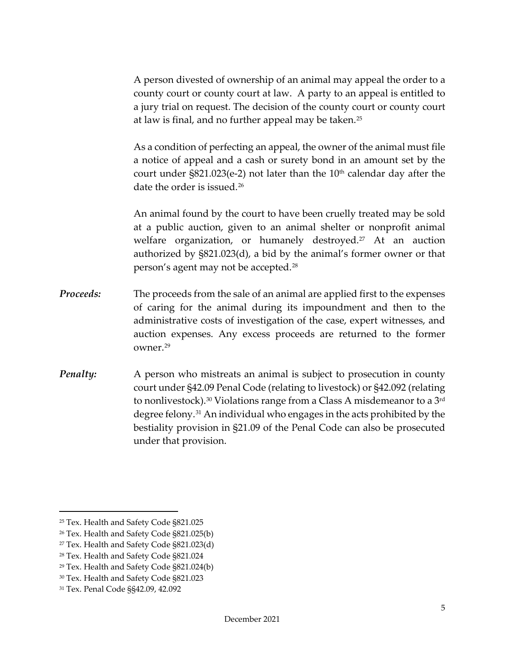A person divested of ownership of an animal may appeal the order to a county court or county court at law. A party to an appeal is entitled to a jury trial on request. The decision of the county court or county court at law is final, and no further appeal may be taken.[25](#page-5-0)

As a condition of perfecting an appeal, the owner of the animal must file a notice of appeal and a cash or surety bond in an amount set by the court under  $\S821.023(e-2)$  not later than the  $10<sup>th</sup>$  calendar day after the date the order is issued. [26](#page-5-1) 

An animal found by the court to have been cruelly treated may be sold at a public auction, given to an animal shelter or nonprofit animal welfare organization, or humanely destroyed.<sup>[27](#page-5-2)</sup> At an auction authorized by §821.023(d), a bid by the animal's former owner or that person's agent may not be accepted.[28](#page-5-3)

- *Proceeds:* The proceeds from the sale of an animal are applied first to the expenses of caring for the animal during its impoundment and then to the administrative costs of investigation of the case, expert witnesses, and auction expenses. Any excess proceeds are returned to the former owner.[29](#page-5-4)
- *Penalty:* A person who mistreats an animal is subject to prosecution in county court under §42.09 Penal Code (relating to livestock) or §42.092 (relating to nonlivestock). [30](#page-5-5) Violations range from a Class A misdemeanor to a 3rd degree felony.[31](#page-5-6) An individual who engages in the acts prohibited by the bestiality provision in §21.09 of the Penal Code can also be prosecuted under that provision.

<span id="page-5-0"></span><sup>25</sup> Tex. Health and Safety Code §821.025

<span id="page-5-1"></span><sup>26</sup> Tex. Health and Safety Code §821.025(b)

<span id="page-5-2"></span><sup>27</sup> Tex. Health and Safety Code §821.023(d)

<span id="page-5-3"></span><sup>28</sup> Tex. Health and Safety Code §821.024

<span id="page-5-4"></span><sup>29</sup> Tex. Health and Safety Code §821.024(b)

<span id="page-5-5"></span><sup>30</sup> Tex. Health and Safety Code §821.023

<span id="page-5-6"></span><sup>31</sup> Tex. Penal Code §§42.09, 42.092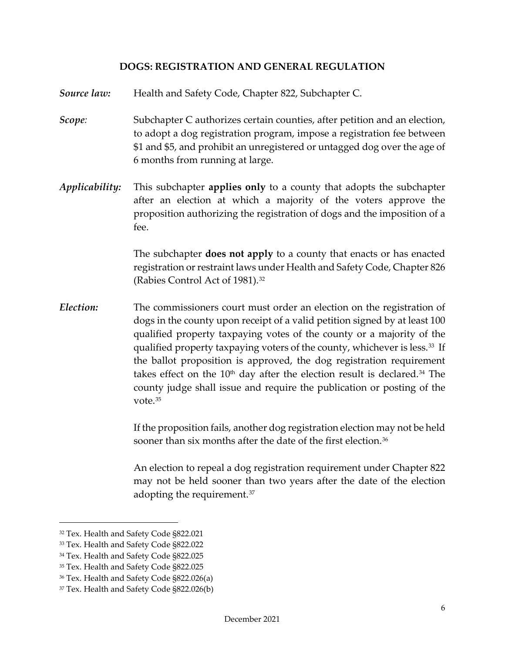#### <span id="page-6-0"></span>**DOGS: REGISTRATION AND GENERAL REGULATION**

- *Source law:* Health and Safety Code, Chapter 822, Subchapter C.
- *Scope:* Subchapter C authorizes certain counties, after petition and an election, to adopt a dog registration program, impose a registration fee between \$1 and \$5, and prohibit an unregistered or untagged dog over the age of 6 months from running at large.
- *Applicability:* This subchapter **applies only** to a county that adopts the subchapter after an election at which a majority of the voters approve the proposition authorizing the registration of dogs and the imposition of a fee.

The subchapter **does not apply** to a county that enacts or has enacted registration or restraint laws under Health and Safety Code, Chapter 826 (Rabies Control Act of 1981).[32](#page-6-1)

*Election:* The commissioners court must order an election on the registration of dogs in the county upon receipt of a valid petition signed by at least 100 qualified property taxpaying votes of the county or a majority of the qualified property taxpaying voters of the county, whichever is less.[33](#page-6-2) If the ballot proposition is approved, the dog registration requirement takes effect on the  $10<sup>th</sup>$  day after the election result is declared.<sup>[34](#page-6-3)</sup> The county judge shall issue and require the publication or posting of the vote.[35](#page-6-4)

> If the proposition fails, another dog registration election may not be held sooner than six months after the date of the first election.<sup>36</sup>

> An election to repeal a dog registration requirement under Chapter 822 may not be held sooner than two years after the date of the election adopting the requirement.[37](#page-6-6)

<span id="page-6-1"></span><sup>32</sup> Tex. Health and Safety Code §822.021

<span id="page-6-2"></span><sup>33</sup> Tex. Health and Safety Code §822.022

<span id="page-6-3"></span><sup>34</sup> Tex. Health and Safety Code §822.025

<span id="page-6-4"></span><sup>35</sup> Tex. Health and Safety Code §822.025

<span id="page-6-5"></span><sup>36</sup> Tex. Health and Safety Code §822.026(a)

<span id="page-6-6"></span><sup>37</sup> Tex. Health and Safety Code §822.026(b)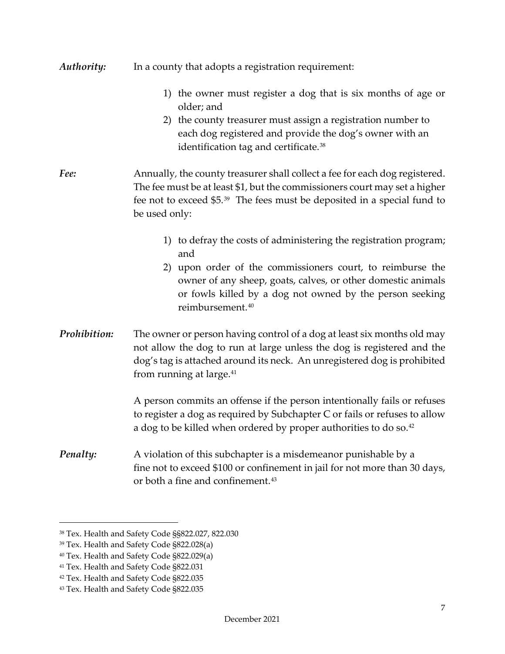| Authority:   | In a county that adopts a registration requirement:                                                                                                                                                                                                                                                |
|--------------|----------------------------------------------------------------------------------------------------------------------------------------------------------------------------------------------------------------------------------------------------------------------------------------------------|
|              | 1) the owner must register a dog that is six months of age or<br>older; and<br>2) the county treasurer must assign a registration number to<br>each dog registered and provide the dog's owner with an<br>identification tag and certificate. <sup>38</sup>                                        |
| Fee:         | Annually, the county treasurer shall collect a fee for each dog registered.<br>The fee must be at least \$1, but the commissioners court may set a higher<br>fee not to exceed \$5. <sup>39</sup> The fees must be deposited in a special fund to<br>be used only:                                 |
|              | 1) to defray the costs of administering the registration program;<br>and<br>2) upon order of the commissioners court, to reimburse the<br>owner of any sheep, goats, calves, or other domestic animals<br>or fowls killed by a dog not owned by the person seeking<br>reimbursement. <sup>40</sup> |
| Prohibition: | The owner or person having control of a dog at least six months old may<br>not allow the dog to run at large unless the dog is registered and the<br>dog's tag is attached around its neck. An unregistered dog is prohibited<br>from running at large. <sup>41</sup>                              |
|              | A person commits an offense if the person intentionally fails or refuses<br>to register a dog as required by Subchapter C or fails or refuses to allow<br>a dog to be killed when ordered by proper authorities to do so. <sup>42</sup>                                                            |
| Penalty:     | A violation of this subchapter is a misdemeanor punishable by a<br>fine not to exceed \$100 or confinement in jail for not more than 30 days,<br>or both a fine and confinement. <sup>43</sup>                                                                                                     |

<span id="page-7-0"></span><sup>38</sup> Tex. Health and Safety Code §§822.027, 822.030

<span id="page-7-1"></span><sup>39</sup> Tex. Health and Safety Code §822.028(a)

<span id="page-7-2"></span><sup>40</sup> Tex. Health and Safety Code §822.029(a)

<span id="page-7-3"></span><sup>&</sup>lt;sup>41</sup> Tex. Health and Safety Code §822.031

<span id="page-7-4"></span><sup>42</sup> Tex. Health and Safety Code §822.035

<span id="page-7-5"></span><sup>43</sup> Tex. Health and Safety Code §822.035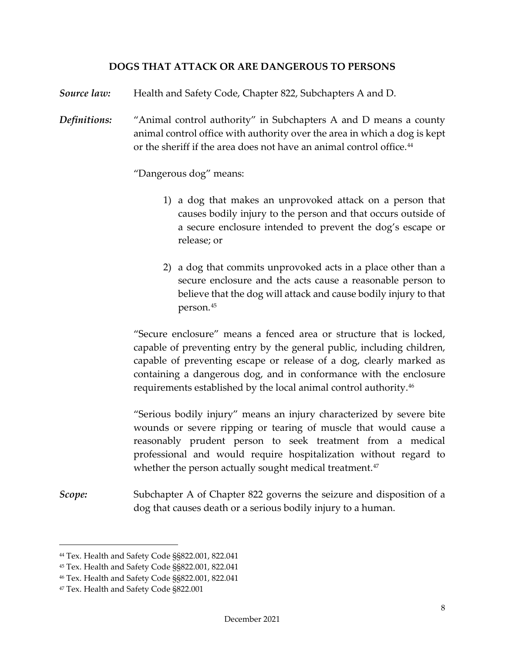#### **DOGS THAT ATTACK OR ARE DANGEROUS TO PERSONS**

*Source law:* Health and Safety Code, Chapter 822, Subchapters A and D.

*Definitions:* "Animal control authority" in Subchapters A and D means a county animal control office with authority over the area in which a dog is kept or the sheriff if the area does not have an animal control office.<sup>[44](#page-8-1)</sup>

"Dangerous dog" means:

- <span id="page-8-0"></span>1) a dog that makes an unprovoked attack on a person that causes bodily injury to the person and that occurs outside of a secure enclosure intended to prevent the dog's escape or release; or
- 2) a dog that commits unprovoked acts in a place other than a secure enclosure and the acts cause a reasonable person to believe that the dog will attack and cause bodily injury to that person.[45](#page-8-2)

"Secure enclosure" means a fenced area or structure that is locked, capable of preventing entry by the general public, including children, capable of preventing escape or release of a dog, clearly marked as containing a dangerous dog, and in conformance with the enclosure requirements established by the local animal control authority[.46](#page-8-3)

"Serious bodily injury" means an injury characterized by severe bite wounds or severe ripping or tearing of muscle that would cause a reasonably prudent person to seek treatment from a medical professional and would require hospitalization without regard to whether the person actually sought medical treatment.<sup>[47](#page-8-4)</sup>

*Scope:* Subchapter A of Chapter 822 governs the seizure and disposition of a dog that causes death or a serious bodily injury to a human.

<span id="page-8-1"></span><sup>44</sup> Tex. Health and Safety Code §§822.001, 822.041

<span id="page-8-2"></span><sup>45</sup> Tex. Health and Safety Code §§822.001, 822.041

<span id="page-8-3"></span><sup>46</sup> Tex. Health and Safety Code §§822.001, 822.041

<span id="page-8-4"></span><sup>47</sup> Tex. Health and Safety Code §822.001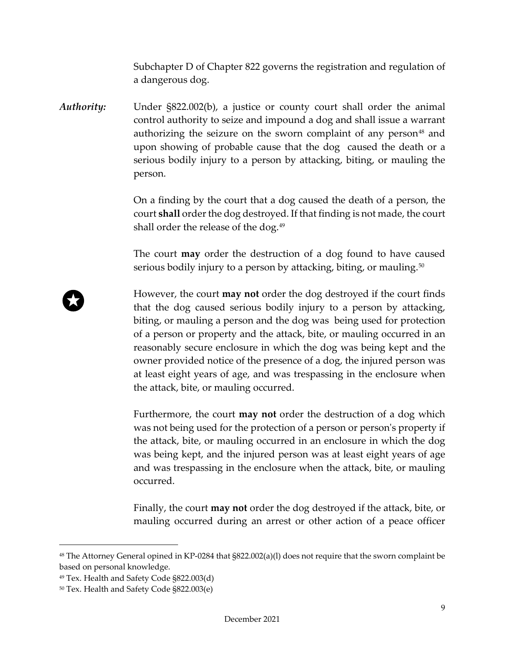Subchapter D of Chapter 822 governs the registration and regulation of a dangerous dog.

*Authority:* Under §822.002(b), a justice or county court shall order the animal control authority to seize and impound a dog and shall issue a warrant authorizing the seizure on the sworn complaint of any person<sup>[48](#page-9-0)</sup> and upon showing of probable cause that the dog caused the death or a serious bodily injury to a person by attacking, biting, or mauling the person.

> On a finding by the court that a dog caused the death of a person, the court **shall** order the dog destroyed. If that finding is not made, the court shall order the release of the dog.<sup>[49](#page-9-1)</sup>

> The court **may** order the destruction of a dog found to have caused serious bodily injury to a person by attacking, biting, or mauling.<sup>[50](#page-9-2)</sup>

However, the court **may not** order the dog destroyed if the court finds that the dog caused serious bodily injury to a person by attacking, biting, or mauling a person and the dog was being used for protection of a person or property and the attack, bite, or mauling occurred in an reasonably secure enclosure in which the dog was being kept and the owner provided notice of the presence of a dog, the injured person was at least eight years of age, and was trespassing in the enclosure when the attack, bite, or mauling occurred.

Furthermore, the court **may not** order the destruction of a dog which was not being used for the protection of a person or person's property if the attack, bite, or mauling occurred in an enclosure in which the dog was being kept, and the injured person was at least eight years of age and was trespassing in the enclosure when the attack, bite, or mauling occurred.

Finally, the court **may not** order the dog destroyed if the attack, bite, or mauling occurred during an arrest or other action of a peace officer

<span id="page-9-0"></span><sup>48</sup> The Attorney General opined in KP-0284 that §822.002(a)(l) does not require that the sworn complaint be based on personal knowledge.

<span id="page-9-1"></span><sup>49</sup> Tex. Health and Safety Code §822.003(d)

<span id="page-9-2"></span><sup>50</sup> Tex. Health and Safety Code §822.003(e)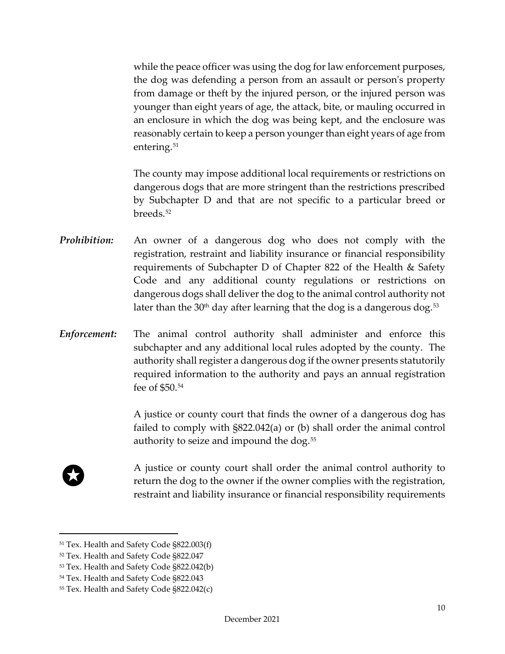while the peace officer was using the dog for law enforcement purposes, the dog was defending a person from an assault or person's property from damage or theft by the injured person, or the injured person was younger than eight years of age, the attack, bite, or mauling occurred in an enclosure in which the dog was being kept, and the enclosure was reasonably certain to keep a person younger than eight years of age from entering.<sup>[51](#page-10-0)</sup>

The county may impose additional local requirements or restrictions on dangerous dogs that are more stringent than the restrictions prescribed by Subchapter D and that are not specific to a particular breed or breeds.<sup>52</sup>

- *Prohibition:* An owner of a dangerous dog who does not comply with the registration, restraint and liability insurance or financial responsibility requirements of Subchapter D of Chapter 822 of the Health & Safety Code and any additional county regulations or restrictions on dangerous dogs shall deliver the dog to the animal control authority not later than the 30<sup>th</sup> day after learning that the dog is a dangerous dog.<sup>[53](#page-10-2)</sup>
- *Enforcement:* The animal control authority shall administer and enforce this subchapter and any additional local rules adopted by the county. The authority shall register a dangerous dog if the owner presents statutorily required information to the authority and pays an annual registration fee of \$50.[54](#page-10-3)

A justice or county court that finds the owner of a dangerous dog has failed to comply with §822.042(a) or (b) shall order the animal control authority to seize and impound the dog.[55](#page-10-4) 



A justice or county court shall order the animal control authority to return the dog to the owner if the owner complies with the registration, restraint and liability insurance or financial responsibility requirements

<span id="page-10-0"></span><sup>51</sup> Tex. Health and Safety Code §822.003(f)

<span id="page-10-1"></span><sup>52</sup> Tex. Health and Safety Code §822.047

<span id="page-10-2"></span><sup>53</sup> Tex. Health and Safety Code §822.042(b)

<span id="page-10-3"></span><sup>54</sup> Tex. Health and Safety Code §822.043

<span id="page-10-4"></span><sup>55</sup> Tex. Health and Safety Code §822.042(c)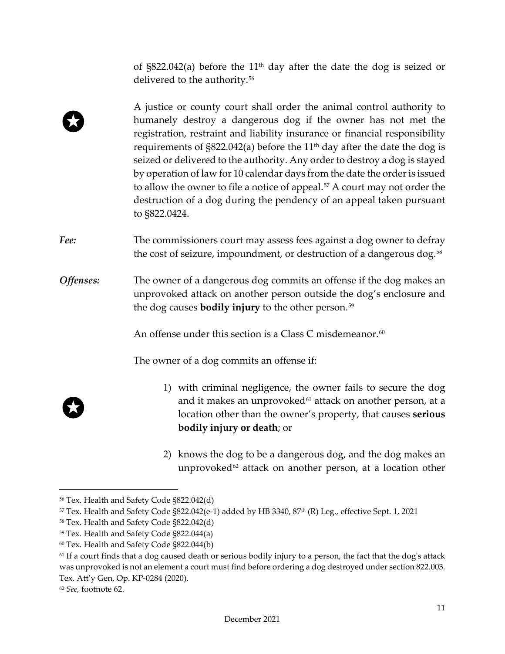of  $\S822.042(a)$  before the 11<sup>th</sup> day after the date the dog is seized or delivered to the authority.<sup>[56](#page-11-0)</sup>

- A justice or county court shall order the animal control authority to humanely destroy a dangerous dog if the owner has not met the registration, restraint and liability insurance or financial responsibility requirements of  $\S822.042(a)$  before the 11<sup>th</sup> day after the date the dog is seized or delivered to the authority. Any order to destroy a dog is stayed by operation of law for 10 calendar days from the date the order is issued to allow the owner to file a notice of appeal.<sup>[57](#page-11-1)</sup> A court may not order the destruction of a dog during the pendency of an appeal taken pursuant to §822.0424.
- Fee: The commissioners court may assess fees against a dog owner to defray the cost of seizure, impoundment, or destruction of a dangerous dog.<sup>[58](#page-11-2)</sup>
- *Offenses:* The owner of a dangerous dog commits an offense if the dog makes an unprovoked attack on another person outside the dog's enclosure and the dog causes **bodily injury** to the other person.[59](#page-11-3)

An offense under this section is a Class C misdemeanor.<sup>60</sup>

The owner of a dog commits an offense if:

- 1) with criminal negligence, the owner fails to secure the dog and it makes an unprovoked $61$  attack on another person, at a location other than the owner's property, that causes **serious bodily injury or death**; or
- 2) knows the dog to be a dangerous dog, and the dog makes an unprovoked<sup>[62](#page-11-6)</sup> attack on another person, at a location other

<span id="page-11-0"></span><sup>56</sup> Tex. Health and Safety Code §822.042(d)

<span id="page-11-1"></span> $57$  Tex. Health and Safety Code §822.042(e-1) added by HB 3340, 87<sup>th</sup> (R) Leg., effective Sept. 1, 2021

<span id="page-11-2"></span><sup>58</sup> Tex. Health and Safety Code §822.042(d)

<span id="page-11-3"></span><sup>59</sup> Tex. Health and Safety Code §822.044(a)

<span id="page-11-4"></span><sup>60</sup> Tex. Health and Safety Code §822.044(b)

<span id="page-11-5"></span> $61$  If a court finds that a dog caused death or serious bodily injury to a person, the fact that the dog's attack was unprovoked is not an element a court must find before ordering a dog destroyed under section 822.003. Tex. Att'y Gen. Op. KP-0284 (2020).

<span id="page-11-6"></span><sup>62</sup> *See,* footnote 62.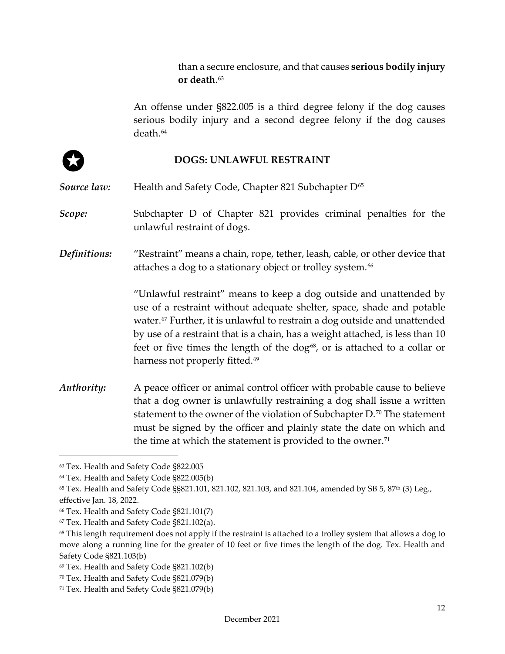than a secure enclosure, and that causes **serious bodily injury or death**.[63](#page-12-1)

An offense under §822.005 is a third degree felony if the dog causes serious bodily injury and a second degree felony if the dog causes death.[64](#page-12-2)



#### <span id="page-12-0"></span>**DOGS: UNLAWFUL RESTRAINT**

**Source law:** Health and Safety Code, Chapter 821 Subchapter D<sup>[65](#page-12-3)</sup>

**Scope:** Subchapter D of Chapter 821 provides criminal penalties for the unlawful restraint of dogs.

*Definitions:* "Restraint" means a chain, rope, tether, leash, cable, or other device that attaches a dog to a stationary object or trolley system.<sup>[66](#page-12-4)</sup>

> "Unlawful restraint" means to keep a dog outside and unattended by use of a restraint without adequate shelter, space, shade and potable water.<sup>[67](#page-12-5)</sup> Further, it is unlawful to restrain a dog outside and unattended by use of a restraint that is a chain, has a weight attached, is less than 10 feet or five times the length of the dog<sup>[68](#page-12-6)</sup>, or is attached to a collar or harness not properly fitted. [69](#page-12-7)

*Authority:* A peace officer or animal control officer with probable cause to believe that a dog owner is unlawfully restraining a dog shall issue a written statement to the owner of the violation of Subchapter D.[70](#page-12-8) The statement must be signed by the officer and plainly state the date on which and the time at which the statement is provided to the owner.<sup>[71](#page-12-9)</sup>

<span id="page-12-1"></span><sup>63</sup> Tex. Health and Safety Code §822.005

<span id="page-12-2"></span><sup>64</sup> Tex. Health and Safety Code §822.005(b)

<span id="page-12-3"></span> $65$  Tex. Health and Safety Code §§821.101, 821.102, 821.103, and 821.104, amended by SB 5, 87<sup>th</sup> (3) Leg., effective Jan. 18, 2022.

<span id="page-12-4"></span><sup>66</sup> Tex. Health and Safety Code §821.101(7)

<span id="page-12-5"></span><sup>67</sup> Tex. Health and Safety Code §821.102(a).

<span id="page-12-6"></span><sup>&</sup>lt;sup>68</sup> This length requirement does not apply if the restraint is attached to a trolley system that allows a dog to move along a running line for the greater of 10 feet or five times the length of the dog. Tex. Health and Safety Code §821.103(b)

<span id="page-12-7"></span><sup>69</sup> Tex. Health and Safety Code §821.102(b)

<span id="page-12-8"></span><sup>70</sup> Tex. Health and Safety Code §821.079(b)

<span id="page-12-9"></span><sup>71</sup> Tex. Health and Safety Code §821.079(b)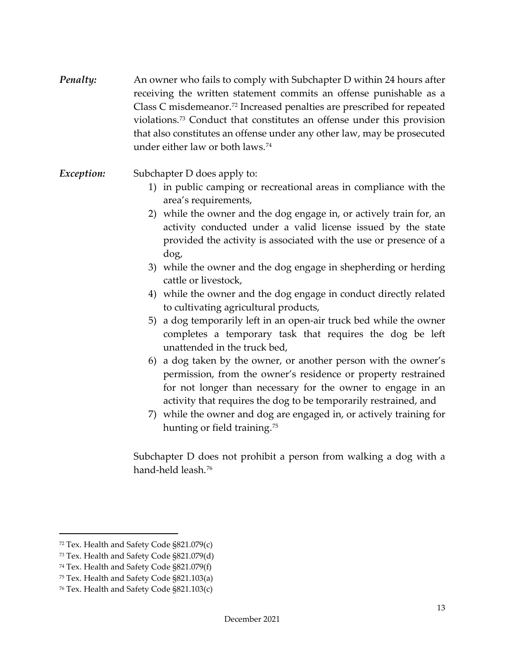- *Penalty:* An owner who fails to comply with Subchapter D within 24 hours after receiving the written statement commits an offense punishable as a Class C misdemeanor.[72](#page-13-0) Increased penalties are prescribed for repeated violations.[73](#page-13-1) Conduct that constitutes an offense under this provision that also constitutes an offense under any other law, may be prosecuted under either law or both laws.[74](#page-13-2)
- *Exception:* Subchapter D does apply to:
	- 1) in public camping or recreational areas in compliance with the area's requirements,
	- 2) while the owner and the dog engage in, or actively train for, an activity conducted under a valid license issued by the state provided the activity is associated with the use or presence of a dog,
	- 3) while the owner and the dog engage in shepherding or herding cattle or livestock,
	- 4) while the owner and the dog engage in conduct directly related to cultivating agricultural products,
	- 5) a dog temporarily left in an open-air truck bed while the owner completes a temporary task that requires the dog be left unattended in the truck bed,
	- 6) a dog taken by the owner, or another person with the owner's permission, from the owner's residence or property restrained for not longer than necessary for the owner to engage in an activity that requires the dog to be temporarily restrained, and
	- 7) while the owner and dog are engaged in, or actively training for hunting or field training.<sup>[75](#page-13-3)</sup>

Subchapter D does not prohibit a person from walking a dog with a hand-held leash.[76](#page-13-4)

<span id="page-13-0"></span><sup>72</sup> Tex. Health and Safety Code §821.079(c)

<span id="page-13-1"></span><sup>73</sup> Tex. Health and Safety Code §821.079(d)

<span id="page-13-2"></span><sup>74</sup> Tex. Health and Safety Code §821.079(f)

<span id="page-13-3"></span><sup>75</sup> Tex. Health and Safety Code §821.103(a)

<span id="page-13-4"></span><sup>76</sup> Tex. Health and Safety Code §821.103(c)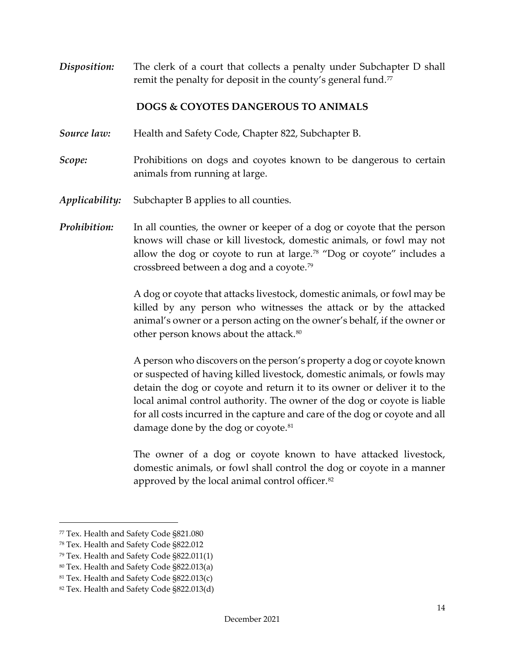**Disposition:** The clerk of a court that collects a penalty under Subchapter D shall remit the penalty for deposit in the county's general fund.<sup>[77](#page-14-1)</sup>

### <span id="page-14-0"></span>**DOGS & COYOTES DANGEROUS TO ANIMALS**

- *Source law:* Health and Safety Code, Chapter 822, Subchapter B.
- *Scope:* Prohibitions on dogs and coyotes known to be dangerous to certain animals from running at large.
- *Applicability:* Subchapter B applies to all counties.
- *Prohibition:* In all counties, the owner or keeper of a dog or coyote that the person knows will chase or kill livestock, domestic animals, or fowl may not allow the dog or coyote to run at large.<sup>[78](#page-14-2)</sup> "Dog or coyote" includes a crossbreed between a dog and a coyote.[79](#page-14-3)

A dog or coyote that attacks livestock, domestic animals, or fowl may be killed by any person who witnesses the attack or by the attacked animal's owner or a person acting on the owner's behalf, if the owner or other person knows about the attack.<sup>[80](#page-14-4)</sup>

A person who discovers on the person's property a dog or coyote known or suspected of having killed livestock, domestic animals, or fowls may detain the dog or coyote and return it to its owner or deliver it to the local animal control authority. The owner of the dog or coyote is liable for all costs incurred in the capture and care of the dog or coyote and all damage done by the dog or coyote.<sup>[81](#page-14-5)</sup>

The owner of a dog or coyote known to have attacked livestock, domestic animals, or fowl shall control the dog or coyote in a manner approved by the local animal control officer.[82](#page-14-6) 

<span id="page-14-3"></span><sup>79</sup> Tex. Health and Safety Code §822.011(1)

<span id="page-14-1"></span><sup>77</sup> Tex. Health and Safety Code §821.080

<span id="page-14-2"></span><sup>78</sup> Tex. Health and Safety Code §822.012

<span id="page-14-4"></span><sup>80</sup> Tex. Health and Safety Code §822.013(a)

<span id="page-14-5"></span><sup>81</sup> Tex. Health and Safety Code §822.013(c)

<span id="page-14-6"></span><sup>82</sup> Tex. Health and Safety Code §822.013(d)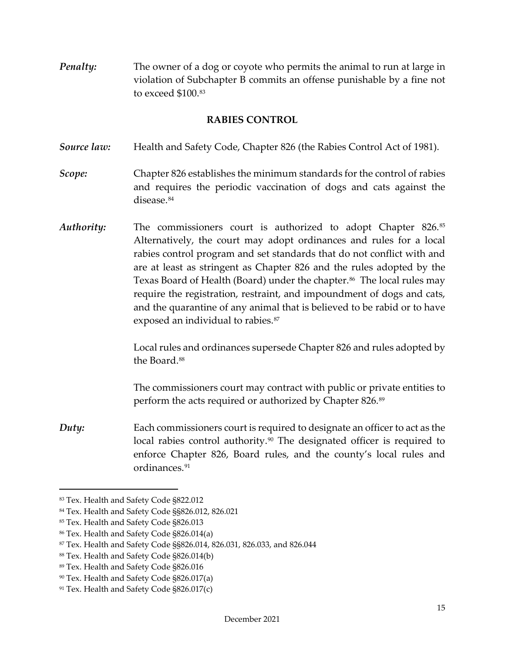*Penalty:* The owner of a dog or coyote who permits the animal to run at large in violation of Subchapter B commits an offense punishable by a fine not to exceed \$100.[83](#page-15-1)

#### <span id="page-15-0"></span>**RABIES CONTROL**

- *Source law:* Health and Safety Code, Chapter 826 (the Rabies Control Act of 1981).
- *Scope:* Chapter 826 establishes the minimum standards for the control of rabies and requires the periodic vaccination of dogs and cats against the disease.<sup>84</sup>
- *Authority:* The commissioners court is authorized to adopt Chapter 826.[85](#page-15-3) Alternatively, the court may adopt ordinances and rules for a local rabies control program and set standards that do not conflict with and are at least as stringent as Chapter 826 and the rules adopted by the Texas Board of Health (Board) under the chapter.<sup>86</sup> The local rules may require the registration, restraint, and impoundment of dogs and cats, and the quarantine of any animal that is believed to be rabid or to have exposed an individual to rabies.<sup>[87](#page-15-5)</sup>

Local rules and ordinances supersede Chapter 826 and rules adopted by the Board.<sup>[88](#page-15-6)</sup>

The commissioners court may contract with public or private entities to perform the acts required or authorized by Chapter 826.[89](#page-15-7) 

*Duty:* Each commissioners court is required to designate an officer to act as the local rabies control authority.<sup>[90](#page-15-8)</sup> The designated officer is required to enforce Chapter 826, Board rules, and the county's local rules and ordinances<sup>91</sup>

<span id="page-15-1"></span><sup>83</sup> Tex. Health and Safety Code §822.012

<span id="page-15-2"></span><sup>84</sup> Tex. Health and Safety Code §§826.012, 826.021

<span id="page-15-3"></span><sup>85</sup> Tex. Health and Safety Code §826.013

<span id="page-15-4"></span><sup>86</sup> Tex. Health and Safety Code §826.014(a)

<span id="page-15-5"></span><sup>87</sup> Tex. Health and Safety Code §§826.014, 826.031, 826.033, and 826.044

<span id="page-15-6"></span><sup>88</sup> Tex. Health and Safety Code §826.014(b)

<span id="page-15-7"></span><sup>89</sup> Tex. Health and Safety Code §826.016

<span id="page-15-8"></span><sup>90</sup> Tex. Health and Safety Code §826.017(a)

<span id="page-15-9"></span><sup>91</sup> Tex. Health and Safety Code §826.017(c)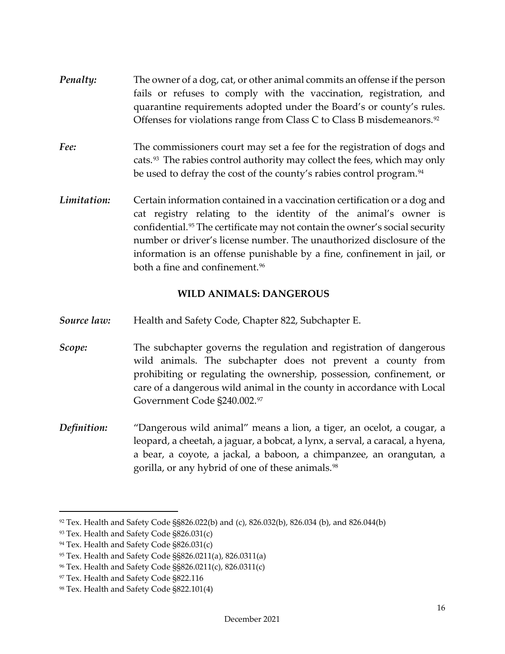- *Penalty:* The owner of a dog, cat, or other animal commits an offense if the person fails or refuses to comply with the vaccination, registration, and quarantine requirements adopted under the Board's or county's rules. Offenses for violations range from Class C to Class B misdemeanors.[92](#page-16-1)
- *Fee:* The commissioners court may set a fee for the registration of dogs and cats.[93](#page-16-2) The rabies control authority may collect the fees, which may only be used to defray the cost of the county's rabies control program.<sup>94</sup>
- *Limitation:* Certain information contained in a vaccination certification or a dog and cat registry relating to the identity of the animal's owner is confidential.[95](#page-16-4) The certificate may not contain the owner's social security number or driver's license number. The unauthorized disclosure of the information is an offense punishable by a fine, confinement in jail, or both a fine and confinement.<sup>[96](#page-16-5)</sup>

## <span id="page-16-0"></span>**WILD ANIMALS: DANGEROUS**

- *Source law:* Health and Safety Code, Chapter 822, Subchapter E.
- *Scope:* The subchapter governs the regulation and registration of dangerous wild animals. The subchapter does not prevent a county from prohibiting or regulating the ownership, possession, confinement, or care of a dangerous wild animal in the county in accordance with Local Government Code §240.002.[97](#page-16-6)
- *Definition:* "Dangerous wild animal" means a lion, a tiger, an ocelot, a cougar, a leopard, a cheetah, a jaguar, a bobcat, a lynx, a serval, a caracal, a hyena, a bear, a coyote, a jackal, a baboon, a chimpanzee, an orangutan, a gorilla, or any hybrid of one of these animals.<sup>[98](#page-16-7)</sup>

<span id="page-16-1"></span><sup>92</sup> Tex. Health and Safety Code §§826.022(b) and (c), 826.032(b), 826.034 (b), and 826.044(b)

<span id="page-16-2"></span><sup>93</sup> Tex. Health and Safety Code §826.031(c)

<span id="page-16-3"></span><sup>94</sup> Tex. Health and Safety Code §826.031(c)

<span id="page-16-4"></span><sup>95</sup> Tex. Health and Safety Code §§826.0211(a), 826.0311(a)

<span id="page-16-5"></span><sup>96</sup> Tex. Health and Safety Code §§826.0211(c), 826.0311(c)

<span id="page-16-6"></span><sup>&</sup>lt;sup>97</sup> Tex. Health and Safety Code §822.116

<span id="page-16-7"></span><sup>98</sup> Tex. Health and Safety Code §822.101(4)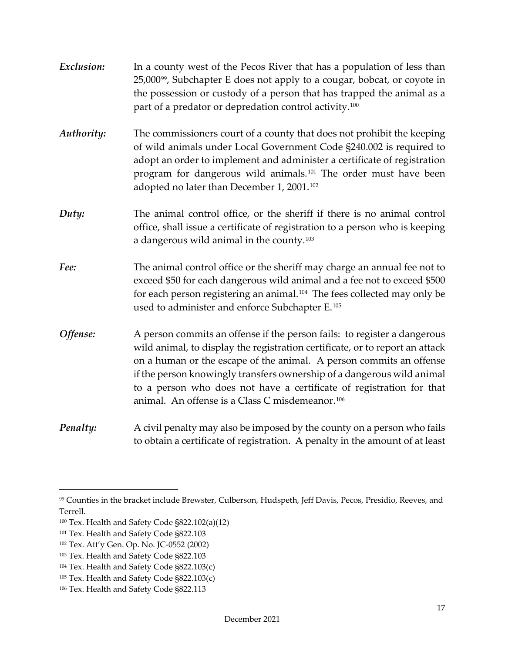| Exclusion: | In a county west of the Pecos River that has a population of less than<br>25,000 <sup>99</sup> , Subchapter E does not apply to a cougar, bobcat, or coyote in<br>the possession or custody of a person that has trapped the animal as a<br>part of a predator or depredation control activity. <sup>100</sup>                                                                                                                                   |
|------------|--------------------------------------------------------------------------------------------------------------------------------------------------------------------------------------------------------------------------------------------------------------------------------------------------------------------------------------------------------------------------------------------------------------------------------------------------|
| Authority: | The commissioners court of a county that does not prohibit the keeping<br>of wild animals under Local Government Code §240.002 is required to<br>adopt an order to implement and administer a certificate of registration<br>program for dangerous wild animals. <sup>101</sup> The order must have been<br>adopted no later than December 1, 2001. <sup>102</sup>                                                                               |
| Duty:      | The animal control office, or the sheriff if there is no animal control<br>office, shall issue a certificate of registration to a person who is keeping<br>a dangerous wild animal in the county. <sup>103</sup>                                                                                                                                                                                                                                 |
| Fee:       | The animal control office or the sheriff may charge an annual fee not to<br>exceed \$50 for each dangerous wild animal and a fee not to exceed \$500<br>for each person registering an animal. <sup>104</sup> The fees collected may only be<br>used to administer and enforce Subchapter E. <sup>105</sup>                                                                                                                                      |
| Offense:   | A person commits an offense if the person fails: to register a dangerous<br>wild animal, to display the registration certificate, or to report an attack<br>on a human or the escape of the animal. A person commits an offense<br>if the person knowingly transfers ownership of a dangerous wild animal<br>to a person who does not have a certificate of registration for that<br>animal. An offense is a Class C misdemeanor. <sup>106</sup> |
| Penalty:   | A civil penalty may also be imposed by the county on a person who fails<br>to obtain a certificate of registration. A penalty in the amount of at least                                                                                                                                                                                                                                                                                          |

<span id="page-17-0"></span><sup>99</sup> Counties in the bracket include Brewster, Culberson, Hudspeth, Jeff Davis, Pecos, Presidio, Reeves, and Terrell.

<span id="page-17-1"></span><sup>100</sup> Tex. Health and Safety Code §822.102(a)(12)

<span id="page-17-2"></span><sup>101</sup> Tex. Health and Safety Code §822.103

<span id="page-17-3"></span><sup>102</sup> Tex. Att'y Gen. Op. No. JC-0552 (2002)

<span id="page-17-4"></span><sup>&</sup>lt;sup>103</sup> Tex. Health and Safety Code §822.103

<span id="page-17-5"></span><sup>104</sup> Tex. Health and Safety Code §822.103(c)

<span id="page-17-6"></span><sup>105</sup> Tex. Health and Safety Code §822.103(c)

<span id="page-17-7"></span><sup>106</sup> Tex. Health and Safety Code §822.113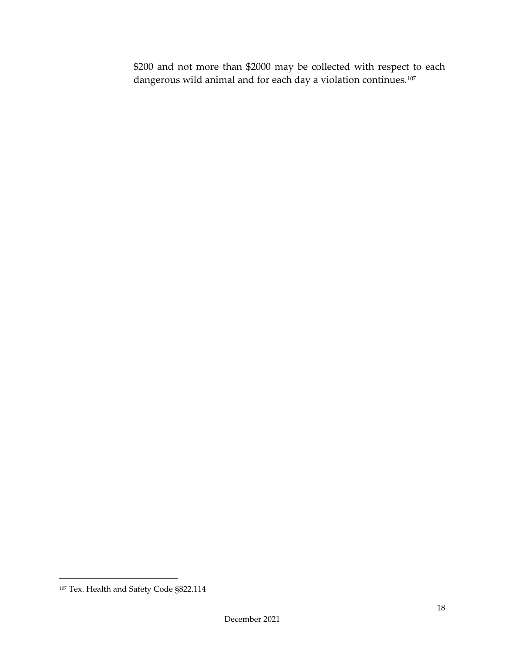\$200 and not more than \$2000 may be collected with respect to each dangerous wild animal and for each day a violation continues.[107](#page-18-0)

<span id="page-18-0"></span><sup>107</sup> Tex. Health and Safety Code §822.114